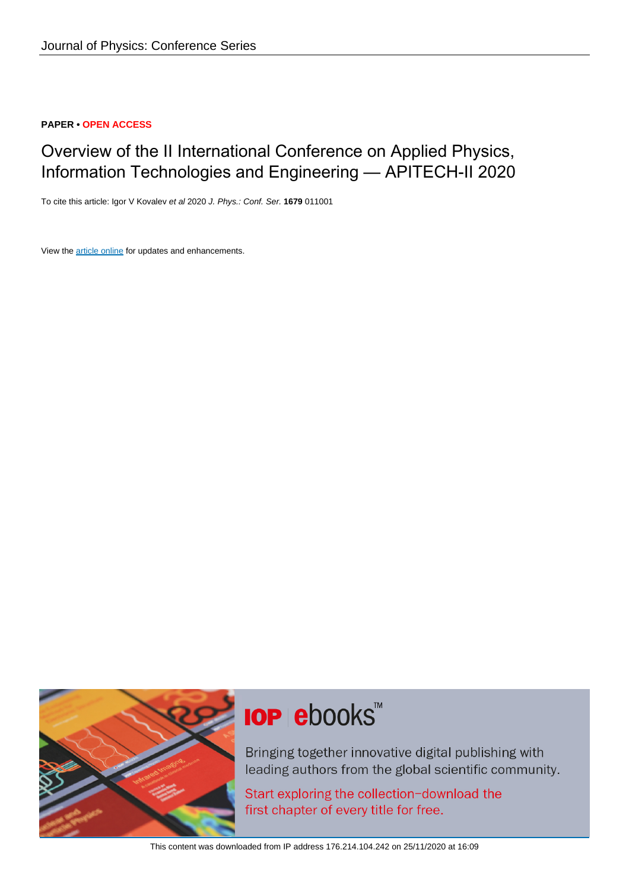### **PAPER • OPEN ACCESS**

## Overview of the II International Conference on Applied Physics, Information Technologies and Engineering — APITECH-II 2020

To cite this article: Igor V Kovalev et al 2020 J. Phys.: Conf. Ser. **1679** 011001

View the [article online](https://doi.org/10.1088/1742-6596/1679/1/011001) for updates and enhancements.



# **IOP ebooks**™

Bringing together innovative digital publishing with leading authors from the global scientific community.

Start exploring the collection-download the first chapter of every title for free.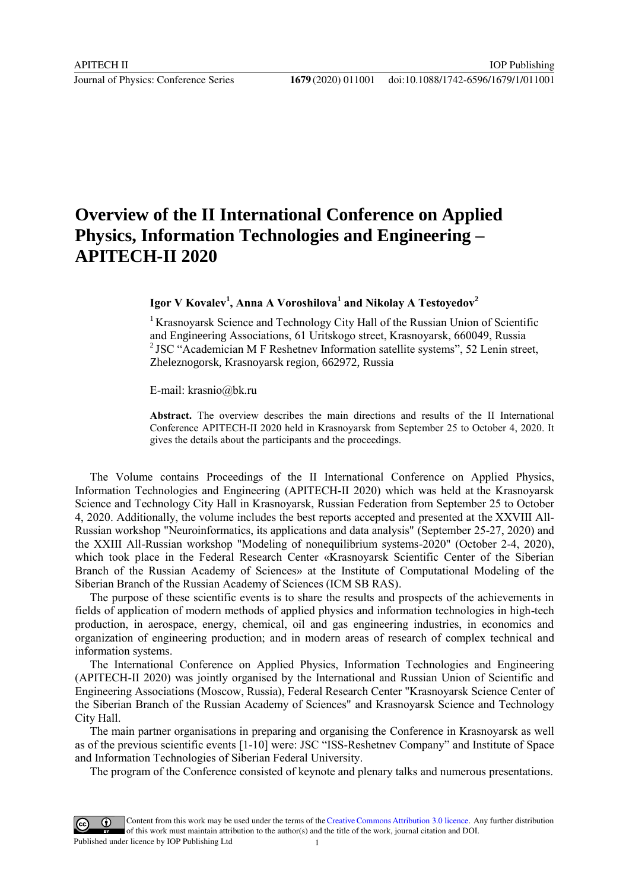# **Overview of the II International Conference on Applied Physics, Information Technologies and Engineering – APITECH-II 2020**

### **Igor V Kovalev<sup>1</sup> , Anna A Voroshilova<sup>1</sup> and Nikolay A Testoyedov<sup>2</sup>**

<sup>1</sup> Krasnoyarsk Science and Technology City Hall of the Russian Union of Scientific and Engineering Associations, 61 Uritskogo street, Krasnoyarsk, 660049, Russia <sup>2</sup> JSC "Academician M F Reshetnev Information satellite systems", 52 Lenin street, Zheleznogorsk, Krasnoyarsk region, 662972, Russia

E-mail: krasnio@bk.ru

**Abstract.** The overview describes the main directions and results of the II International Conference APITECH-II 2020 held in Krasnoyarsk from September 25 to October 4, 2020. It gives the details about the participants and the proceedings.

The Volume contains Proceedings of the II International Conference on Applied Physics, Information Technologies and Engineering (APITECH-II 2020) which was held at the Krasnoyarsk Science and Technology City Hall in Krasnoyarsk, Russian Federation from September 25 to October 4, 2020. Additionally, the volume includes the best reports accepted and presented at the XXVIII All-Russian workshop "Neuroinformatics, its applications and data analysis" (September 25-27, 2020) and the XXIII All-Russian workshop "Modeling of nonequilibrium systems-2020" (October 2-4, 2020), which took place in the Federal Research Center «Krasnoyarsk Scientific Center of the Siberian Branch of the Russian Academy of Sciences» at the Institute of Computational Modeling of the Siberian Branch of the Russian Academy of Sciences (ICM SB RAS).

The purpose of these scientific events is to share the results and prospects of the achievements in fields of application of modern methods of applied physics and information technologies in high-tech production, in aerospace, energy, chemical, oil and gas engineering industries, in economics and organization of engineering production; and in modern areas of research of complex technical and information systems.

The International Conference on Applied Physics, Information Technologies and Engineering (APITECH-II 2020) was jointly organised by the International and Russian Union of Scientific and Engineering Associations (Moscow, Russia), Federal Research Center "Krasnoyarsk Science Center of the Siberian Branch of the Russian Academy of Sciences" and Krasnoyarsk Science and Technology City Hall.

The main partner organisations in preparing and organising the Conference in Krasnoyarsk as well as of the previous scientific events [1-10] were: JSC "ISS-Reshetnev Company" and Institute of Space and Information Technologies of Siberian Federal University.

The program of the Conference consisted of keynote and plenary talks and numerous presentations.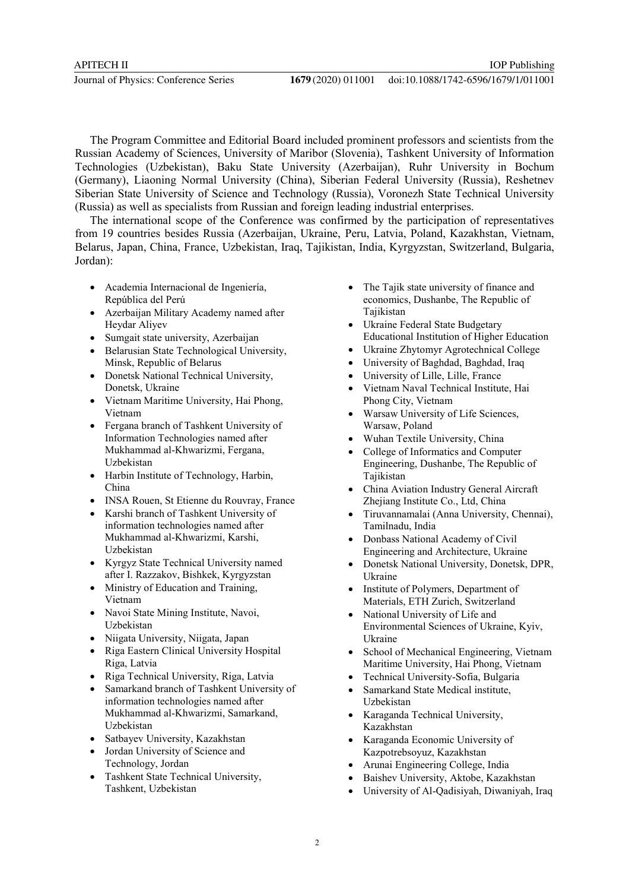The Program Committee and Editorial Board included prominent professors and scientists from the Russian Academy of Sciences, University of Maribor (Slovenia), Tashkent University of Information Technologies (Uzbekistan), Baku State University (Azerbaijan), Ruhr University in Bochum (Germany), Liaoning Normal University (China), Siberian Federal University (Russia), Reshetnev Siberian State University of Science and Technology (Russia), Voronezh State Technical University (Russia) as well as specialists from Russian and foreign leading industrial enterprises.

The international scope of the Conference was confirmed by the participation of representatives from 19 countries besides Russia (Azerbaijan, Ukraine, Peru, Latvia, Poland, Kazakhstan, Vietnam, Belarus, Japan, China, France, Uzbekistan, Iraq, Tajikistan, India, Kyrgyzstan, Switzerland, Bulgaria, Jordan):

- Academia Internacional de Ingeniería, República del Perú
- Azerbaijan Military Academy named after Heydar Aliyev
- Sumgait state university, Azerbaijan
- Belarusian State Technological University, Minsk, Republic of Belarus
- Donetsk National Technical University, Donetsk, Ukraine
- Vietnam Maritime University, Hai Phong, Vietnam
- Fergana branch of Tashkent University of Information Technologies named after Mukhammad al-Khwarizmi, Fergana, Uzbekistan
- Harbin Institute of Technology, Harbin, China
- INSA Rouen, St Etienne du Rouvray, France
- Karshi branch of Tashkent University of information technologies named after Mukhammad al-Khwarizmi, Karshi, Uzbekistan
- Kyrgyz State Technical University named after I. Razzakov, Bishkek, Kyrgyzstan
- Ministry of Education and Training, Vietnam
- Navoi State Mining Institute, Navoi, Uzbekistan
- Niigata University, Niigata, Japan
- Riga Eastern Clinical University Hospital Riga, Latvia
- Riga Technical University, Riga, Latvia
- Samarkand branch of Tashkent University of information technologies named after Mukhammad al-Khwarizmi, Samarkand, Uzbekistan
- Satbayev University, Kazakhstan
- Jordan University of Science and Technology, Jordan
- Tashkent State Technical University, Tashkent, Uzbekistan
- The Tajik state university of finance and economics, Dushanbe, The Republic of Tajikistan
- Ukraine Federal State Budgetary Educational Institution of Higher Education
- Ukraine Zhytomyr Agrotechnical College
- University of Baghdad, Baghdad, Iraq
- University of Lille, Lille, France
- Vietnam Naval Technical Institute, Hai Phong City, Vietnam
- Warsaw University of Life Sciences, Warsaw, Poland
- Wuhan Textile University, China
- College of Informatics and Computer Engineering, Dushanbe, The Republic of Tajikistan
- China Aviation Industry General Aircraft Zhejiang Institute Co., Ltd, China
- Tiruvannamalai (Anna University, Chennai), Tamilnadu, India
- Donbass National Academy of Civil Engineering and Architecture, Ukraine
- Donetsk National University, Donetsk, DPR, Ukraine
- Institute of Polymers, Department of Materials, ETH Zurich, Switzerland
- National University of Life and Environmental Sciences of Ukraine, Kyiv, Ukraine
- School of Mechanical Engineering, Vietnam Maritime University, Hai Phong, Vietnam
- Technical University-Sofia, Bulgaria
- Samarkand State Medical institute, Uzbekistan
- Karaganda Technical University, Kazakhstan
- Karaganda Economic University of Kazpotrebsoyuz, Kazakhstan
- Arunai Engineering College, India
- Baishev University, Aktobe, Kazakhstan
- University of Al-Qadisiyah, Diwaniyah, Iraq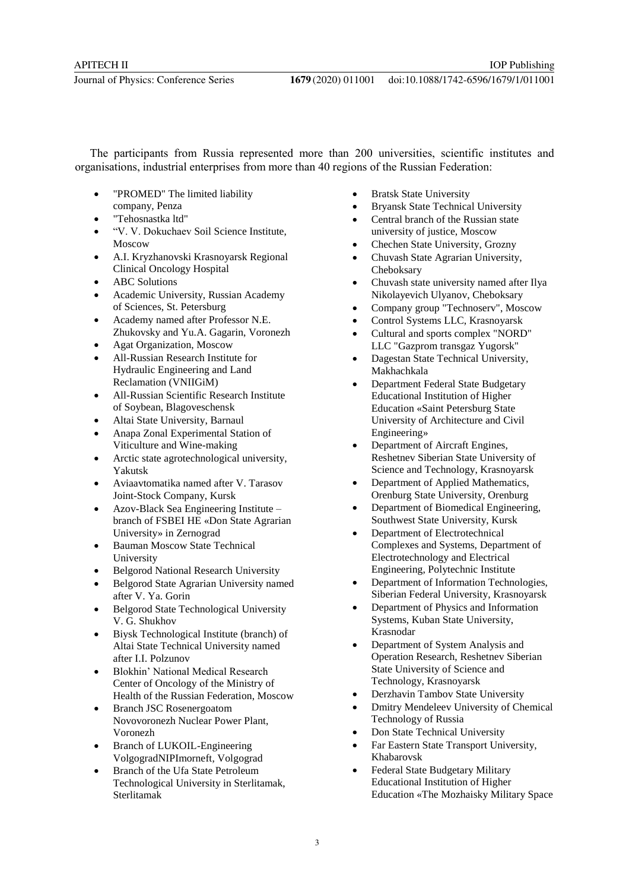APITECH II

Journal of Physics: Conference Series **1679** (2020) 011001

The participants from Russia represented more than 200 universities, scientific institutes and organisations, industrial enterprises from more than 40 regions of the Russian Federation:

- "PROMED" The limited liability company, Penza
- "Tehosnastka ltd"
- "V. V. Dokuchaev Soil Science Institute, Moscow
- A.I. Kryzhanovski Krasnoyarsk Regional Clinical Oncology Hospital
- ABC Solutions
- Academic University, Russian Academy of Sciences, St. Petersburg
- Academy named after Professor N.E. Zhukovsky and Yu.A. Gagarin, Voronezh
- Agat Organization, Moscow
- All-Russian Research Institute for Hydraulic Engineering and Land Reclamation (VNIIGiM)
- All-Russian Scientific Research Institute of Soybean, Blagoveschensk
- Altai State University, Barnaul
- Anapa Zonal Experimental Station of Viticulture and Wine-making
- Arctic state agrotechnological university, Yakutsk
- Aviaavtomatika named after V. Tarasov Joint-Stock Company, Kursk
- Azov-Black Sea Engineering Institute branch of FSBEI HE «Don State Agrarian University» in Zernograd
- Bauman Moscow State Technical University
- Belgorod National Research University
- Belgorod State Agrarian University named after V. Ya. Gorin
- **Belgorod State Technological University** V. G. Shukhov
- Biysk Technological Institute (branch) of Altai State Technical University named after I.I. Polzunov
- Blokhin' National Medical Research Center of Oncology оf the Ministry of Health of the Russian Federation, Moscow
- Branch JSC Rosenergoatom Novovoronezh Nuclear Power Plant, Voronezh
- Branch of LUKOIL-Engineering VolgogradNIPImorneft, Volgograd
- Branch of the Ufa State Petroleum Technological University in Sterlitamak, Sterlitamak
- Bratsk State University
- Bryansk State Technical University
- Central branch of the Russian state university of justice, Moscow
- Chechen State University, Grozny
- Chuvash State Agrarian University, Cheboksary
- Chuvash state university named after Ilya Nikolayevich Ulyanov, Cheboksary
- Company group "Technoserv", Moscow
- Control Systems LLC, Krasnoyarsk
- Cultural and sports complex "NORD" LLC "Gazprom transgaz Yugorsk"
- Dagestan State Technical University, Makhachkala
- Department Federal State Budgetary Educational Institution of Higher Education «Saint Petersburg State University of Architecture and Civil Engineering»
- Department of Aircraft Engines, Reshetnev Siberian State University of Science and Technology, Krasnoyarsk
- Department of Applied Mathematics, Orenburg State University, Orenburg
- Department of Biomedical Engineering, Southwest State University, Kursk
- Department of Electrotechnical Complexes and Systems, Department of Electrotechnology and Electrical Engineering, Polytechnic Institute
- Department of Information Technologies, Siberian Federal University, Krasnoyarsk
- Department of Physics and Information Systems, Kuban State University, Krasnodar
- Department of System Analysis and Operation Research, Reshetnev Siberian State University of Science and Technology, Krasnoyarsk
- Derzhavin Tambov State University
- Dmitry Mendeleev University of Chemical Technology of Russia
- Don State Technical University
- Far Eastern State Transport University, Khabarovsk
- Federal State Budgetary Military Educational Institution of Higher Education «The Mozhaisky Military Space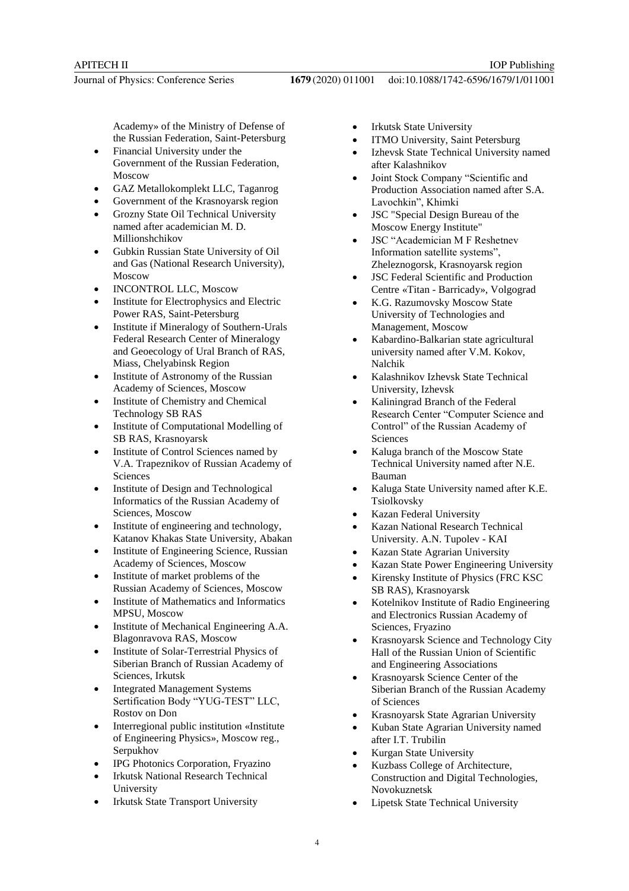Academy» of the Ministry of Defense of the Russian Federation, Saint-Petersburg

- Financial University under the Government of the Russian Federation, Moscow
- GAZ Metallokomplekt LLC, Taganrog
- Government of the Krasnoyarsk region
- Grozny State Oil Technical University named after academician M. D. Millionshchikov
- Gubkin Russian State University of Oil and Gas (National Research University), Moscow
- INCONTROL LLC, Moscow
- Institute for Electrophysics and Electric Power RAS, Saint-Petersburg
- Institute if Mineralogy of Southern-Urals Federal Research Center of Mineralogy and Geoecology of Ural Branch of RAS, Miass, Chelyabinsk Region
- Institute of Astronomy of the Russian Academy of Sciences, Moscow
- Institute of Chemistry and Chemical Technology SB RAS
- Institute of Computational Modelling of SB RAS, Krasnoyarsk
- Institute of Control Sciences named by V.A. Trapeznikov of Russian Academy of Sciences
- Institute of Design and Technological Informatics of the Russian Academy of Sciences, Moscow
- Institute of engineering and technology, Katanov Khakas State University, Abakan
- Institute of Engineering Science, Russian Academy of Sciences, Moscow
- Institute of market problems of the Russian Academy of Sciences, Moscow
- Institute of Mathematics and Informatics MPSU, Moscow
- Institute of Mechanical Engineering A.A. Blagonravova RAS, Moscow
- Institute of Solar-Terrestrial Physics of Siberian Branch of Russian Academy of Sciences, Irkutsk
- Integrated Management Systems Sertification Body "YUG-TEST" LLC, Rostov on Don
- Interregional public institution «Institute of Engineering Physics», Moscow reg., Serpukhov
- IPG Photonics Corporation, Fryazino
- Irkutsk National Research Technical University
- Irkutsk State Transport University
- Irkutsk State University
- ITMO University, Saint Petersburg
- Izhevsk State Technical University named after Kalashnikov

IOP Publishing

- Joint Stock Company "Scientific and Production Association named after S.A. Lavochkin", Khimki
- JSC "Special Design Bureau of the Moscow Energy Institute"
- JSC "Academician M F Reshetnev Information satellite systems", Zheleznogorsk, Krasnoyarsk region
- JSC Federal Scientific and Production Centre «Titan - Barricady», Volgograd
- K.G. Razumovsky Moscow State University of Technologies and Management, Moscow
- Kabardino-Balkarian state agricultural university named after V.M. Kokov, Nalchik
- Kalashnikov Izhevsk State Technical University, Izhevsk
- Kaliningrad Branch of the Federal Research Center "Computer Science and Control" of the Russian Academy of Sciences
- Kaluga branch of the Moscow State Technical University named after N.E. Bauman
- Kaluga State University named after K.E. Tsiolkovsky
- Kazan Federal University
- Kazan National Research Technical University. A.N. Tupolev - KAI
- Kazan State Agrarian University
- Kazan State Power Engineering University
- Kirensky Institute of Physics (FRC KSC SB RAS), Krasnoyarsk
- Kotelnikov Institute of Radio Engineering and Electronics Russian Academy of Sciences, Fryazino
- Krasnoyarsk Science and Technology City Hall of the Russian Union of Scientific and Engineering Associations
- Krasnoyarsk Science Center of the Siberian Branch of the Russian Academy of Sciences
- Krasnoyarsk State Agrarian University
- Kuban State Agrarian University named after I.T. Trubilin
- Kurgan State University
- Kuzbass College of Architecture, Construction and Digital Technologies, Novokuznetsk
- Lipetsk State Technical University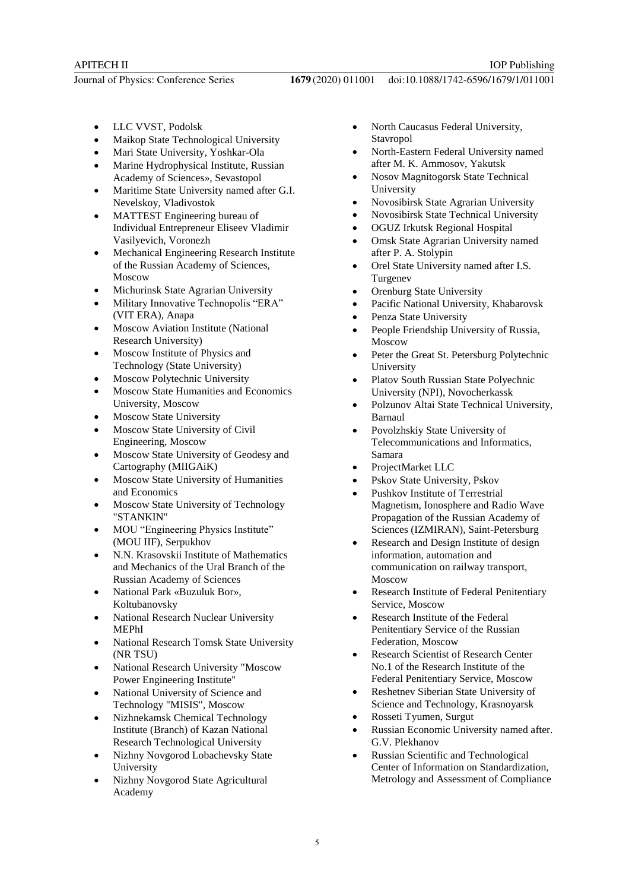APITECH II

Journal of Physics: Conference Series **1679** (2020) 011001

#### doi:10.1088/1742-6596/1679/1/011001

- LLC VVST, Podolsk
- Maikop State Technological University
- Mari State University, Yoshkar-Ola
- Marine Hydrophysical Institute, Russian Academy of Sciences», Sevastopol
- Maritime State University named after G.I. Nevelskoy, Vladivostok
- MATTEST Engineering bureau of Individual Entrepreneur Eliseev Vladimir Vasilyevich, Voronezh
- Mechanical Engineering Research Institute of the Russian Academy of Sciences, Moscow
- Michurinsk State Agrarian University
- Military Innovative Technopolis "ERA" (VIT ERA), Anapa
- Moscow Aviation Institute (National Research University)
- Moscow Institute of Physics and Technology (State University)
- Moscow Polytechnic University
- Moscow State Humanities and Economics University, Moscow
- Moscow State University
- Moscow State University of Civil Engineering, Moscow
- Moscow State University of Geodesy and Cartography (MIIGAiK)
- Moscow State University of Humanities and Economics
- Moscow State University of Technology "STANKIN"
- MOU "Engineering Physics Institute" (MOU IIF), Serpukhov
- N.N. Krasovskii Institute of Mathematics and Mechanics of the Ural Branch of the Russian Academy of Sciences
- National Park «Buzuluk Bor», Koltubanovsky
- National Research Nuclear University MEPhI
- National Research Tomsk State University (NR TSU)
- National Research University "Moscow Power Engineering Institute"
- National University of Science and Technology "MISIS", Moscow
- Nizhnekamsk Chemical Technology Institute (Branch) of Kazan National Research Technological University
- Nizhny Novgorod Lobachevsky State University
- Nizhny Novgorod State Agricultural Academy
- North Caucasus Federal University, Stavropol
- North-Eastern Federal University named after M. K. Ammosov, Yakutsk

IOP Publishing

- Nosov Magnitogorsk State Technical University
- Novosibirsk State Agrarian University
- Novosibirsk State Technical University
- OGUZ Irkutsk Regional Hospital
- Omsk State Agrarian University named after P. A. Stolypin
- Orel State University named after I.S. Turgenev
- Orenburg State University
- Pacific National University, Khabarovsk
- Penza State University
- People Friendship University of Russia, Moscow
- Peter the Great St. Petersburg Polytechnic University
- Platov South Russian State Polyechnic University (NPI), Novocherkassk
- Polzunov Altai State Technical University, Barnaul
- Povolzhskiy State University of Telecommunications and Informatics, Samara
- ProjectMarket LLC
- Pskov State University, Pskov
- Pushkov Institute of Terrestrial Magnetism, Ionosphere and Radio Wave Propagation of the Russian Academy of Sciences (IZMIRAN), Saint-Petersburg
- Research and Design Institute of design information, automation and communication on railway transport, Moscow
- Research Institute of Federal Penitentiary Service, Moscow
- Research Institute of the Federal Penitentiary Service of the Russian Federation, Moscow
- Research Scientist of Research Center No.1 of the Research Institute of the Federal Penitentiary Service, Moscow
- Reshetnev Siberian State University of Science and Technology, Krasnoyarsk
- Rosseti Tyumen, Surgut
- Russian Economic University named after. G.V. Plekhanov
- Russian Scientific and Technological Center of Information on Standardization, Metrology and Assessment of Compliance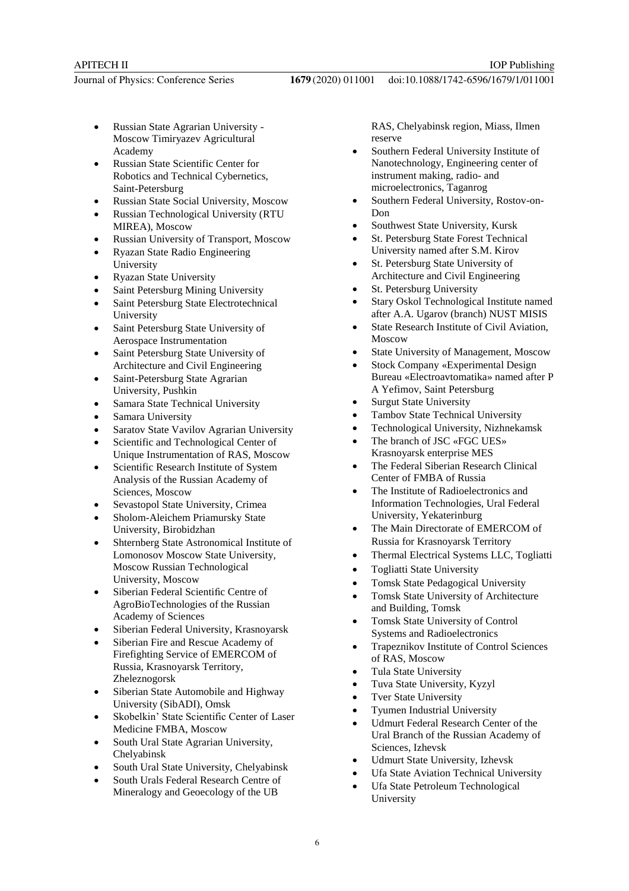- Russian State Agrarian University Moscow Timiryazev Agricultural Academy
- Russian State Scientific Center for Robotics and Technical Cybernetics, Saint-Petersburg
- Russian State Social University, Moscow
- Russian Technological University (RTU MIREA), Moscow
- Russian University of Transport, Moscow
- Ryazan State Radio Engineering University
- Ryazan State University
- Saint Petersburg Mining University
- Saint Petersburg State Electrotechnical University
- Saint Petersburg State University of Aerospace Instrumentation
- Saint Petersburg State University of Architecture and Civil Engineering
- Saint-Petersburg State Agrarian University, Pushkin
- Samara State Technical University
- Samara University
- Saratov State Vavilov Agrarian University
- Scientific and Technological Center of Unique Instrumentation of RAS, Moscow
- Scientific Research Institute of System Analysis of the Russian Academy of Sciences, Moscow
- Sevastopol State University, Crimea
- Sholom-Aleichem Priamursky State University, Birobidzhan
- Shternberg State Astronomical Institute of Lomonosov Moscow State University, Moscow Russian Technological University, Moscow
- Siberian Federal Scientific Centre of AgroBioTechnologies of the Russian Academy of Sciences
- Siberian Federal University, Krasnoyarsk
- Siberian Fire and Rescue Academy of Firefighting Service of EMERCOM of Russia, Krasnoyarsk Territory, Zheleznogorsk
- Siberian State Automobile and Highway University (SibADI), Omsk
- Skobelkin' State Scientific Center of Laser Medicine FMBA, Moscow
- South Ural State Agrarian University, Chelyabinsk
- South Ural State University, Chelyabinsk
- South Urals Federal Research Centre of Mineralogy and Geoecology of the UB

RAS, Chelyabinsk region, Miass, Ilmen reserve

IOP Publishing

- Southern Federal University Institute of Nanotechnology, Engineering center of instrument making, radio- and microelectronics, Taganrog
- Southern Federal University, Rostov-on-Don
- Southwest State University, Kursk
- St. Petersburg State Forest Technical University named after S.M. Kirov
- St. Petersburg State University of Architecture and Civil Engineering
- St. Petersburg University
- Stary Oskol Technological Institute named after A.A. Ugarov (branch) NUST MISIS
- State Research Institute of Civil Aviation, Moscow
- State University of Management, Moscow
- Stock Company «Experimental Design Bureau «Electroavtomatika» named after P A Yefimov, Saint Petersburg
- Surgut State University
- Tambov State Technical University
- Technological University, Nizhnekamsk
- The branch of JSC «FGC UES» Krasnoyarsk enterprise MES
- The Federal Siberian Research Clinical Center of FMBA of Russia
- The Institute of Radioelectronics and Information Technologies, Ural Federal University, Yekaterinburg
- The Main Directorate of EMERCOM of Russia for Krasnoyarsk Territory
- Thermal Electrical Systems LLC, Togliatti
- Togliatti State University
- Tomsk State Pedagogical University
- Tomsk State University of Architecture and Building, Tomsk
- Tomsk State University of Control Systems and Radioelectronics
- Trapeznikov Institute of Control Sciences of RAS, Moscow
- Tula State University
- Tuva State University, Kyzyl
- Tver State University
- Tyumen Industrial University
- Udmurt Federal Research Center of the Ural Branch of the Russian Academy of Sciences, Izhevsk
- Udmurt State University, Izhevsk
- Ufa State Aviation Technical University
- Ufa State Petroleum Technological University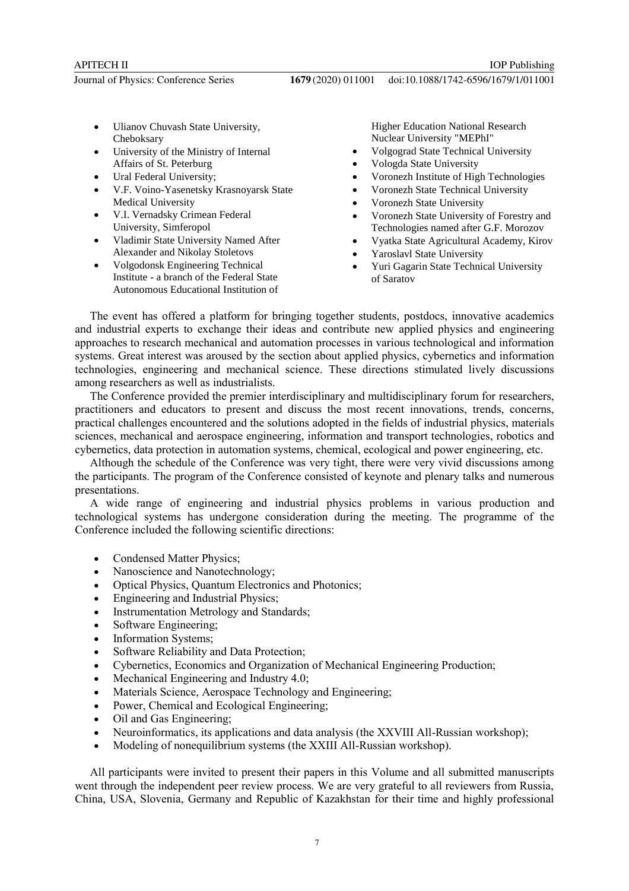APITECH II

#### Journal of Physics: Conference Series **1679** (2020) 011001

## doi:10.1088/1742-6596/1679/1/011001

- Ulianov Chuvash State University, Cheboksary
- University of the Ministry of Internal Affairs of St. Peterburg
- Ural Federal University;
- V.F. Voino-Yasenetsky Krasnoyarsk State Medical University
- V.I. Vernadsky Crimean Federal University, Simferopol
- Vladimir State University Named After Alexander and Nikolay Stoletovs
- Volgodonsk Engineering Technical Institute - a branch of the Federal State Autonomous Educational Institution of

Higher Education National Research Nuclear University "MEPhI"

IOP Publishing

- Volgograd State Technical University
- Vologda State University
- Voronezh Institute of High Technologies
- Voronezh State Technical University
- Voronezh State University
- Voronezh State University of Forestry and Technologies named after G.F. Morozov
- Vyatka State Agricultural Academy, Kirov
- Yaroslavl State University
- Yuri Gagarin State Technical University of Saratov

The event has offered a platform for bringing together students, postdocs, innovative academics and industrial experts to exchange their ideas and contribute new applied physics and engineering approaches to research mechanical and automation processes in various technological and information systems. Great interest was aroused by the section about applied physics, cybernetics and information technologies, engineering and mechanical science. These directions stimulated lively discussions among researchers as well as industrialists.

The Conference provided the premier interdisciplinary and multidisciplinary forum for researchers, practitioners and educators to present and discuss the most recent innovations, trends, concerns, practical challenges encountered and the solutions adopted in the fields of industrial physics, materials sciences, mechanical and aerospace engineering, information and transport technologies, robotics and cybernetics, data protection in automation systems, chemical, ecological and power engineering, etc.

Although the schedule of the Conference was very tight, there were very vivid discussions among the participants. The program of the Conference consisted of keynote and plenary talks and numerous presentations.

A wide range of engineering and industrial physics problems in various production and technological systems has undergone consideration during the meeting. The programme of the Conference included the following scientific directions:

- Condensed Matter Physics;
- Nanoscience and Nanotechnology;
- Optical Physics, Quantum Electronics and Photonics;
- Engineering and Industrial Physics;
- Instrumentation Metrology and Standards;
- Software Engineering;
- Information Systems;
- Software Reliability and Data Protection;
- Cybernetics, Economics and Organization of Mechanical Engineering Production;
- Mechanical Engineering and Industry 4.0;
- Materials Science, Aerospace Technology and Engineering;
- Power, Chemical and Ecological Engineering;
- Oil and Gas Engineering;
- Neuroinformatics, its applications and data analysis (the XXVIII All-Russian workshop);
- Modeling of nonequilibrium systems (the XXIII All-Russian workshop).

All participants were invited to present their papers in this Volume and all submitted manuscripts went through the independent peer review process. We are very grateful to all reviewers from Russia, China, USA, Slovenia, Germany and Republic of Kazakhstan for their time and highly professional